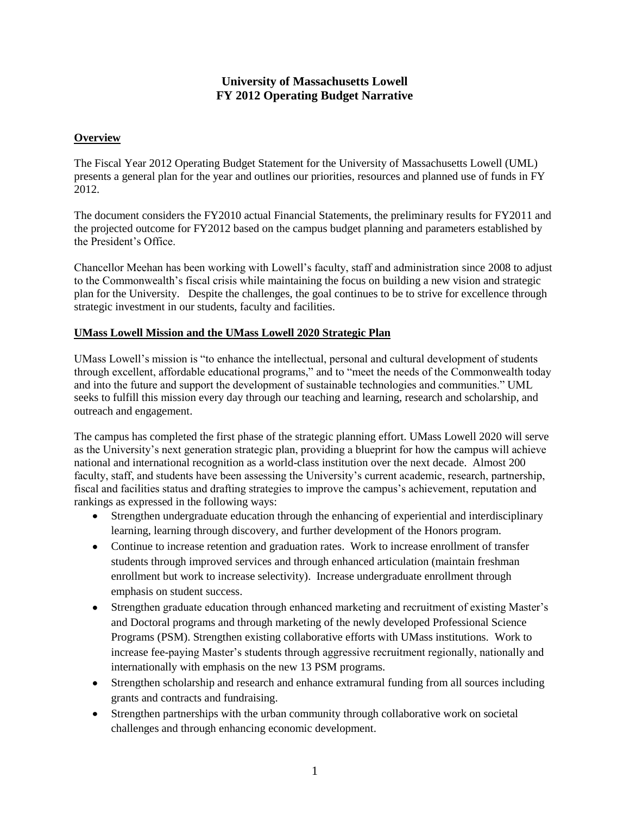## **University of Massachusetts Lowell FY 2012 Operating Budget Narrative**

### **Overview**

The Fiscal Year 2012 Operating Budget Statement for the University of Massachusetts Lowell (UML) presents a general plan for the year and outlines our priorities, resources and planned use of funds in FY 2012.

The document considers the FY2010 actual Financial Statements, the preliminary results for FY2011 and the projected outcome for FY2012 based on the campus budget planning and parameters established by the President's Office.

Chancellor Meehan has been working with Lowell's faculty, staff and administration since 2008 to adjust to the Commonwealth's fiscal crisis while maintaining the focus on building a new vision and strategic plan for the University. Despite the challenges, the goal continues to be to strive for excellence through strategic investment in our students, faculty and facilities.

### **UMass Lowell Mission and the UMass Lowell 2020 Strategic Plan**

UMass Lowell's mission is "to enhance the intellectual, personal and cultural development of students through excellent, affordable educational programs," and to "meet the needs of the Commonwealth today and into the future and support the development of sustainable technologies and communities." UML seeks to fulfill this mission every day through our teaching and learning, research and scholarship, and outreach and engagement.

The campus has completed the first phase of the strategic planning effort. UMass Lowell 2020 will serve as the University's next generation strategic plan, providing a blueprint for how the campus will achieve national and international recognition as a world-class institution over the next decade. Almost 200 faculty, staff, and students have been assessing the University's current academic, research, partnership, fiscal and facilities status and drafting strategies to improve the campus's achievement, reputation and rankings as expressed in the following ways:

- Strengthen undergraduate education through the enhancing of experiential and interdisciplinary learning, learning through discovery, and further development of the Honors program.
- Continue to increase retention and graduation rates. Work to increase enrollment of transfer students through improved services and through enhanced articulation (maintain freshman enrollment but work to increase selectivity). Increase undergraduate enrollment through emphasis on student success.
- Strengthen graduate education through enhanced marketing and recruitment of existing Master's and Doctoral programs and through marketing of the newly developed Professional Science Programs (PSM). Strengthen existing collaborative efforts with UMass institutions. Work to increase fee-paying Master's students through aggressive recruitment regionally, nationally and internationally with emphasis on the new 13 PSM programs.
- Strengthen scholarship and research and enhance extramural funding from all sources including grants and contracts and fundraising.
- Strengthen partnerships with the urban community through collaborative work on societal challenges and through enhancing economic development.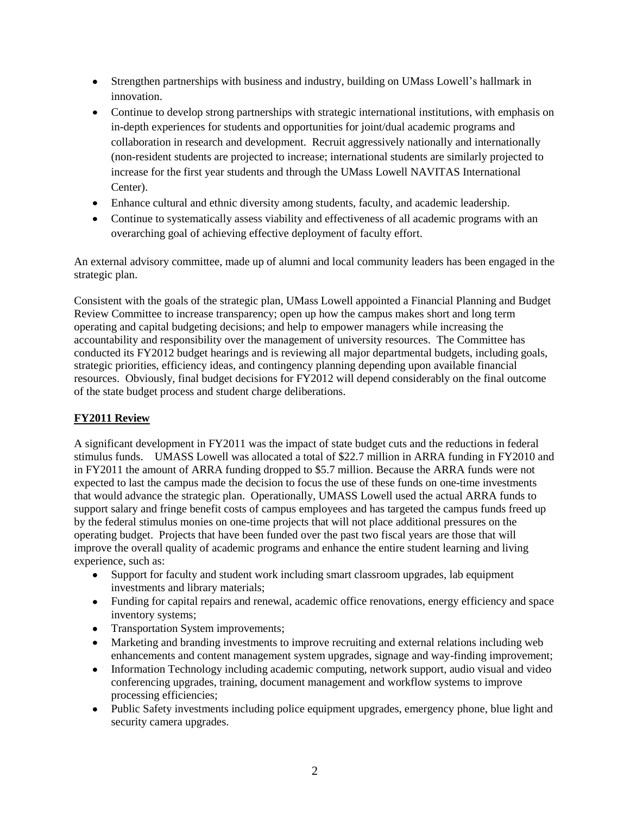- Strengthen partnerships with business and industry, building on UMass Lowell's hallmark in innovation.
- Continue to develop strong partnerships with strategic international institutions, with emphasis on in-depth experiences for students and opportunities for joint/dual academic programs and collaboration in research and development. Recruit aggressively nationally and internationally (non-resident students are projected to increase; international students are similarly projected to increase for the first year students and through the UMass Lowell NAVITAS International Center).
- Enhance cultural and ethnic diversity among students, faculty, and academic leadership.
- Continue to systematically assess viability and effectiveness of all academic programs with an overarching goal of achieving effective deployment of faculty effort.

An external advisory committee, made up of alumni and local community leaders has been engaged in the strategic plan.

Consistent with the goals of the strategic plan, UMass Lowell appointed a Financial Planning and Budget Review Committee to increase transparency; open up how the campus makes short and long term operating and capital budgeting decisions; and help to empower managers while increasing the accountability and responsibility over the management of university resources. The Committee has conducted its FY2012 budget hearings and is reviewing all major departmental budgets, including goals, strategic priorities, efficiency ideas, and contingency planning depending upon available financial resources. Obviously, final budget decisions for FY2012 will depend considerably on the final outcome of the state budget process and student charge deliberations.

## **FY2011 Review**

A significant development in FY2011 was the impact of state budget cuts and the reductions in federal stimulus funds. UMASS Lowell was allocated a total of \$22.7 million in ARRA funding in FY2010 and in FY2011 the amount of ARRA funding dropped to \$5.7 million. Because the ARRA funds were not expected to last the campus made the decision to focus the use of these funds on one-time investments that would advance the strategic plan. Operationally, UMASS Lowell used the actual ARRA funds to support salary and fringe benefit costs of campus employees and has targeted the campus funds freed up by the federal stimulus monies on one-time projects that will not place additional pressures on the operating budget. Projects that have been funded over the past two fiscal years are those that will improve the overall quality of academic programs and enhance the entire student learning and living experience, such as:

- Support for faculty and student work including smart classroom upgrades, lab equipment investments and library materials;
- Funding for capital repairs and renewal, academic office renovations, energy efficiency and space inventory systems;
- Transportation System improvements;
- Marketing and branding investments to improve recruiting and external relations including web enhancements and content management system upgrades, signage and way-finding improvement;
- Information Technology including academic computing, network support, audio visual and video  $\bullet$ conferencing upgrades, training, document management and workflow systems to improve processing efficiencies;
- Public Safety investments including police equipment upgrades, emergency phone, blue light and security camera upgrades.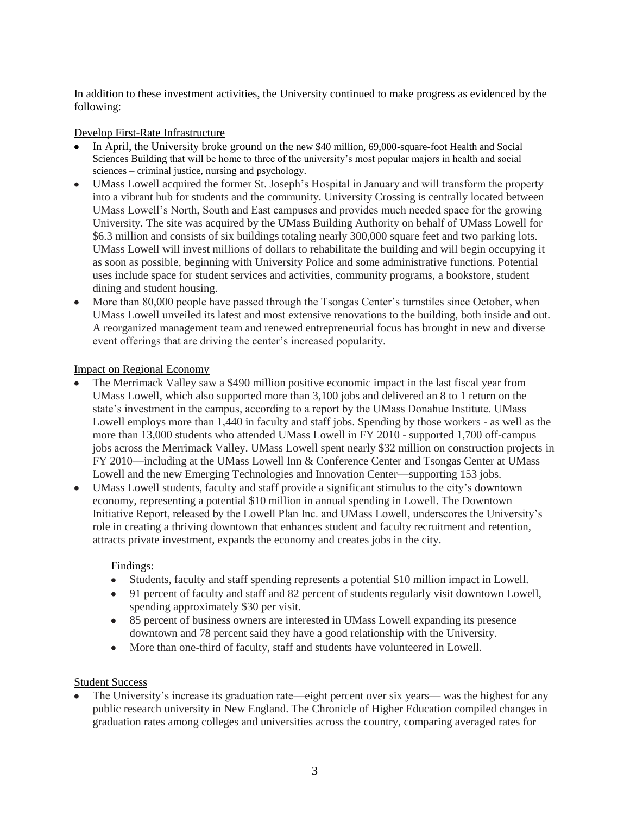In addition to these investment activities, the University continued to make progress as evidenced by the following:

### Develop First-Rate Infrastructure

- In April, the University broke ground on the new \$40 million, 69,000-square-foot Health and Social Sciences Building that will be home to three of the university's most popular majors in health and social sciences – criminal justice, nursing and psychology.
- UMass Lowell acquired the former St. Joseph's Hospital in January and will transform the property into a vibrant hub for students and the community. University Crossing is centrally located between UMass Lowell's North, South and East campuses and provides much needed space for the growing University. The site was acquired by the UMass Building Authority on behalf of UMass Lowell for \$6.3 million and consists of six buildings totaling nearly 300,000 square feet and two parking lots. UMass Lowell will invest millions of dollars to rehabilitate the building and will begin occupying it as soon as possible, beginning with University Police and some administrative functions. Potential uses include space for student services and activities, community programs, a bookstore, student dining and student housing.
- More than 80,000 people have passed through the Tsongas Center's turnstiles since October, when UMass Lowell unveiled its latest and most extensive renovations to the building, both inside and out. A reorganized management team and renewed entrepreneurial focus has brought in new and diverse event offerings that are driving the center's increased popularity.

### Impact on Regional Economy

- The Merrimack Valley saw a \$490 million positive economic impact in the last fiscal year from UMass Lowell, which also supported more than 3,100 jobs and delivered an 8 to 1 return on the state's investment in the campus, according to a report by the UMass Donahue Institute. UMass Lowell employs more than 1,440 in faculty and staff jobs. Spending by those workers - as well as the more than 13,000 students who attended UMass Lowell in FY 2010 - supported 1,700 off-campus jobs across the Merrimack Valley. UMass Lowell spent nearly \$32 million on construction projects in FY 2010—including at the UMass Lowell Inn & Conference Center and Tsongas Center at UMass Lowell and the new Emerging Technologies and Innovation Center—supporting 153 jobs.
- UMass Lowell students, faculty and staff provide a significant stimulus to the city's downtown economy, representing a potential \$10 million in annual spending in Lowell. The Downtown Initiative Report, released by the Lowell Plan Inc. and UMass Lowell, underscores the University's role in creating a thriving downtown that enhances student and faculty recruitment and retention, attracts private investment, expands the economy and creates jobs in the city.

### Findings:

- Students, faculty and staff spending represents a potential \$10 million impact in Lowell.  $\bullet$
- 91 percent of faculty and staff and 82 percent of students regularly visit downtown Lowell, spending approximately \$30 per visit.
- 85 percent of business owners are interested in UMass Lowell expanding its presence downtown and 78 percent said they have a good relationship with the University.
- More than one-third of faculty, staff and students have volunteered in Lowell.

### Student Success

The University's increase its graduation rate—eight percent over six years— was the highest for any public research university in New England. The Chronicle of Higher Education compiled changes in graduation rates among colleges and universities across the country, comparing averaged rates for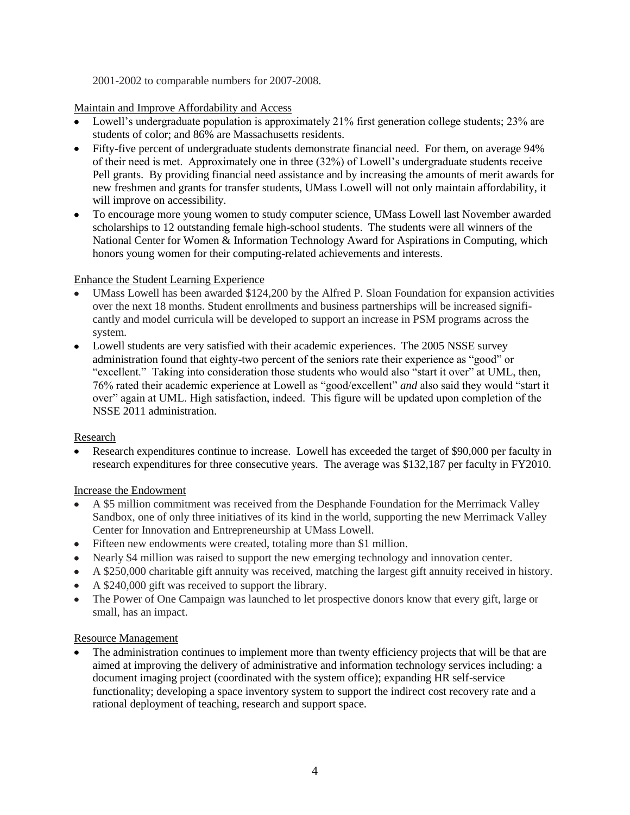2001-2002 to comparable numbers for 2007-2008.

Maintain and Improve Affordability and Access

- Lowell's undergraduate population is approximately 21% first generation college students; 23% are students of color; and 86% are Massachusetts residents.
- Fifty-five percent of undergraduate students demonstrate financial need. For them, on average 94% of their need is met. Approximately one in three (32%) of Lowell's undergraduate students receive Pell grants. By providing financial need assistance and by increasing the amounts of merit awards for new freshmen and grants for transfer students, UMass Lowell will not only maintain affordability, it will improve on accessibility.
- To encourage more young women to study computer science, UMass Lowell last November awarded scholarships to 12 outstanding female high-school students. The students were all winners of the National Center for Women & Information Technology Award for Aspirations in Computing, which honors young women for their computing-related achievements and interests.

## Enhance the Student Learning Experience

- UMass Lowell has been awarded \$124,200 by the Alfred P. Sloan Foundation for expansion activities over the next 18 months. Student enrollments and business partnerships will be increased significantly and model curricula will be developed to support an increase in PSM programs across the system.
- Lowell students are very satisfied with their academic experiences. The 2005 NSSE survey administration found that eighty-two percent of the seniors rate their experience as "good" or "excellent." Taking into consideration those students who would also "start it over" at UML, then, 76% rated their academic experience at Lowell as "good/excellent" *and* also said they would "start it over" again at UML. High satisfaction, indeed. This figure will be updated upon completion of the NSSE 2011 administration.

## Research

Research expenditures continue to increase. Lowell has exceeded the target of \$90,000 per faculty in research expenditures for three consecutive years. The average was \$132,187 per faculty in FY2010.

## Increase the Endowment

- A \$5 million commitment was received from the Desphande Foundation for the Merrimack Valley Sandbox, one of only three initiatives of its kind in the world, supporting the new Merrimack Valley Center for Innovation and Entrepreneurship at UMass Lowell.
- Fifteen new endowments were created, totaling more than \$1 million.
- Nearly \$4 million was raised to support the new emerging technology and innovation center.
- A \$250,000 charitable gift annuity was received, matching the largest gift annuity received in history.  $\bullet$
- A \$240,000 gift was received to support the library.
- $\bullet$ The Power of One Campaign was launched to let prospective donors know that every gift, large or small, has an impact.

### Resource Management

The administration continues to implement more than twenty efficiency projects that will be that are aimed at improving the delivery of administrative and information technology services including: a document imaging project (coordinated with the system office); expanding HR self-service functionality; developing a space inventory system to support the indirect cost recovery rate and a rational deployment of teaching, research and support space.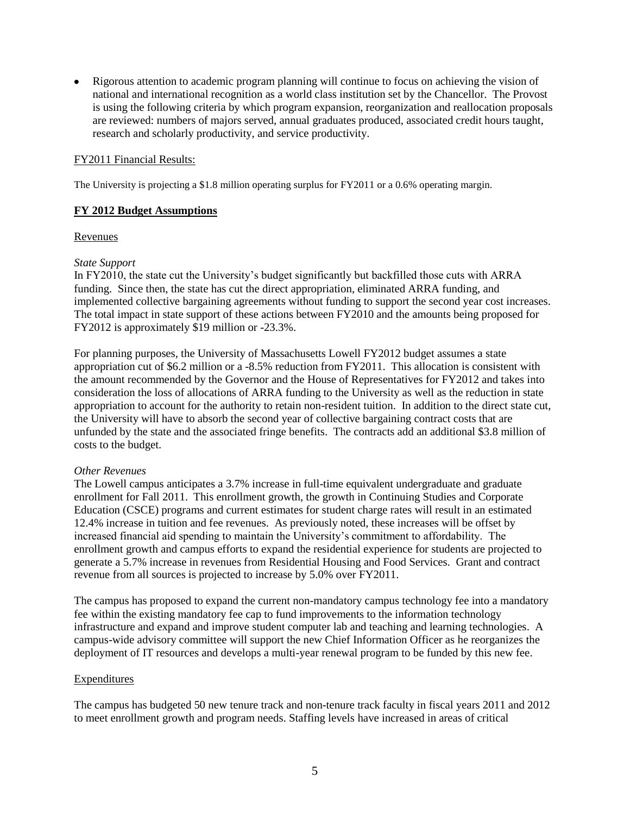Rigorous attention to academic program planning will continue to focus on achieving the vision of national and international recognition as a world class institution set by the Chancellor. The Provost is using the following criteria by which program expansion, reorganization and reallocation proposals are reviewed: numbers of majors served, annual graduates produced, associated credit hours taught, research and scholarly productivity, and service productivity.

#### FY2011 Financial Results:

The University is projecting a \$1.8 million operating surplus for FY2011 or a 0.6% operating margin.

#### **FY 2012 Budget Assumptions**

#### Revenues

#### *State Support*

In FY2010, the state cut the University's budget significantly but backfilled those cuts with ARRA funding. Since then, the state has cut the direct appropriation, eliminated ARRA funding, and implemented collective bargaining agreements without funding to support the second year cost increases. The total impact in state support of these actions between FY2010 and the amounts being proposed for FY2012 is approximately \$19 million or -23.3%.

For planning purposes, the University of Massachusetts Lowell FY2012 budget assumes a state appropriation cut of \$6.2 million or a -8.5% reduction from FY2011. This allocation is consistent with the amount recommended by the Governor and the House of Representatives for FY2012 and takes into consideration the loss of allocations of ARRA funding to the University as well as the reduction in state appropriation to account for the authority to retain non-resident tuition. In addition to the direct state cut, the University will have to absorb the second year of collective bargaining contract costs that are unfunded by the state and the associated fringe benefits. The contracts add an additional \$3.8 million of costs to the budget.

### *Other Revenues*

The Lowell campus anticipates a 3.7% increase in full-time equivalent undergraduate and graduate enrollment for Fall 2011. This enrollment growth, the growth in Continuing Studies and Corporate Education (CSCE) programs and current estimates for student charge rates will result in an estimated 12.4% increase in tuition and fee revenues. As previously noted, these increases will be offset by increased financial aid spending to maintain the University's commitment to affordability. The enrollment growth and campus efforts to expand the residential experience for students are projected to generate a 5.7% increase in revenues from Residential Housing and Food Services. Grant and contract revenue from all sources is projected to increase by 5.0% over FY2011.

The campus has proposed to expand the current non-mandatory campus technology fee into a mandatory fee within the existing mandatory fee cap to fund improvements to the information technology infrastructure and expand and improve student computer lab and teaching and learning technologies. A campus-wide advisory committee will support the new Chief Information Officer as he reorganizes the deployment of IT resources and develops a multi-year renewal program to be funded by this new fee.

### **Expenditures**

The campus has budgeted 50 new tenure track and non-tenure track faculty in fiscal years 2011 and 2012 to meet enrollment growth and program needs. Staffing levels have increased in areas of critical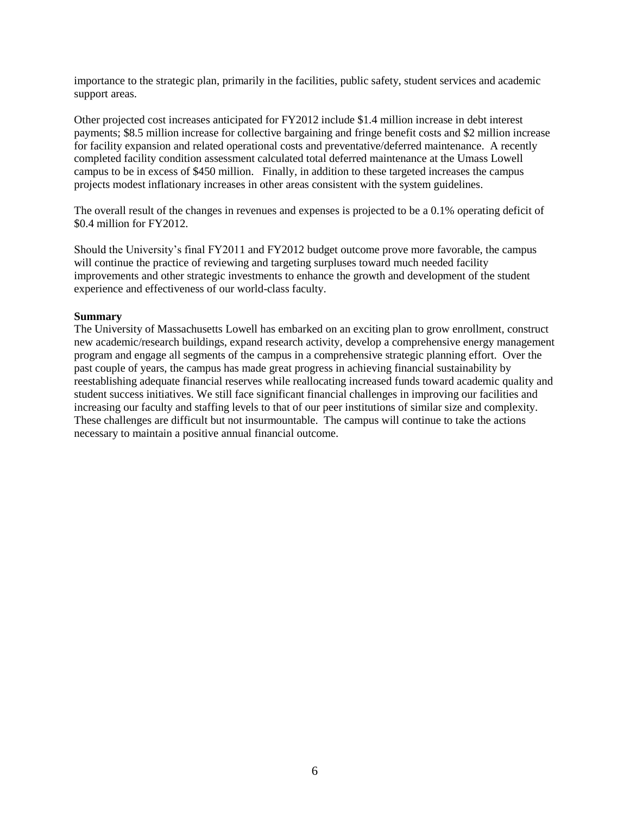importance to the strategic plan, primarily in the facilities, public safety, student services and academic support areas.

Other projected cost increases anticipated for FY2012 include \$1.4 million increase in debt interest payments; \$8.5 million increase for collective bargaining and fringe benefit costs and \$2 million increase for facility expansion and related operational costs and preventative/deferred maintenance. A recently completed facility condition assessment calculated total deferred maintenance at the Umass Lowell campus to be in excess of \$450 million. Finally, in addition to these targeted increases the campus projects modest inflationary increases in other areas consistent with the system guidelines.

The overall result of the changes in revenues and expenses is projected to be a 0.1% operating deficit of \$0.4 million for FY2012.

Should the University's final FY2011 and FY2012 budget outcome prove more favorable, the campus will continue the practice of reviewing and targeting surpluses toward much needed facility improvements and other strategic investments to enhance the growth and development of the student experience and effectiveness of our world-class faculty.

#### **Summary**

The University of Massachusetts Lowell has embarked on an exciting plan to grow enrollment, construct new academic/research buildings, expand research activity, develop a comprehensive energy management program and engage all segments of the campus in a comprehensive strategic planning effort. Over the past couple of years, the campus has made great progress in achieving financial sustainability by reestablishing adequate financial reserves while reallocating increased funds toward academic quality and student success initiatives. We still face significant financial challenges in improving our facilities and increasing our faculty and staffing levels to that of our peer institutions of similar size and complexity. These challenges are difficult but not insurmountable. The campus will continue to take the actions necessary to maintain a positive annual financial outcome.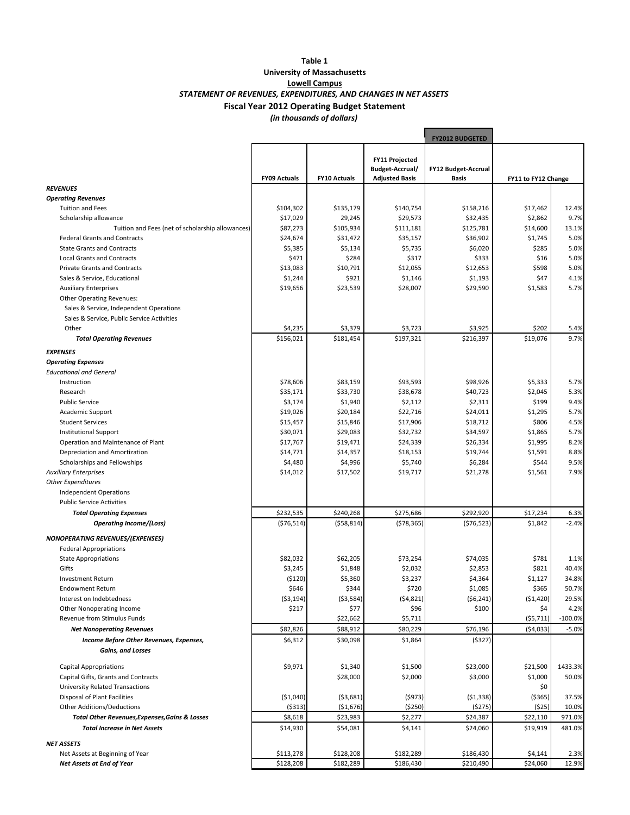#### *(in thousands of dollars)* **Table 1 University of Massachusetts Lowell Campus Fiscal Year 2012 Operating Budget Statement** *STATEMENT OF REVENUES, EXPENDITURES, AND CHANGES IN NET ASSETS*

|                                                  |                     |                     |                                                                   | <b>FY2012 BUDGETED</b>       |                     |           |
|--------------------------------------------------|---------------------|---------------------|-------------------------------------------------------------------|------------------------------|---------------------|-----------|
|                                                  | <b>FY09 Actuals</b> | <b>FY10 Actuals</b> | <b>FY11 Projected</b><br>Budget-Accrual/<br><b>Adjusted Basis</b> | FY12 Budget-Accrual<br>Basis | FY11 to FY12 Change |           |
| <b>REVENUES</b>                                  |                     |                     |                                                                   |                              |                     |           |
| <b>Operating Revenues</b>                        |                     |                     |                                                                   |                              |                     |           |
| <b>Tuition and Fees</b>                          | \$104,302           | \$135,179           | \$140,754                                                         | \$158,216                    | \$17,462            | 12.4%     |
| Scholarship allowance                            | \$17,029            | 29,245              | \$29,573                                                          | \$32,435                     | \$2,862             | 9.7%      |
| Tuition and Fees (net of scholarship allowances) | \$87,273            | \$105,934           | \$111,181                                                         | \$125,781                    | \$14,600            | 13.1%     |
| <b>Federal Grants and Contracts</b>              | \$24,674            | \$31,472            | \$35,157                                                          | \$36,902                     | \$1,745             | 5.0%      |
| <b>State Grants and Contracts</b>                | \$5,385             | \$5,134             | \$5,735                                                           | \$6,020                      | \$285               | 5.0%      |
| <b>Local Grants and Contracts</b>                | \$471               | \$284               | \$317                                                             | \$333                        | \$16                | 5.0%      |
| <b>Private Grants and Contracts</b>              | \$13,083            | \$10,791            | \$12,055                                                          | \$12,653                     | \$598               | 5.0%      |
| Sales & Service, Educational                     | \$1,244             | \$921               | \$1,146                                                           | \$1,193                      | \$47                | 4.1%      |
| <b>Auxiliary Enterprises</b>                     | \$19,656            | \$23,539            | \$28,007                                                          | \$29,590                     | \$1,583             | 5.7%      |
| <b>Other Operating Revenues:</b>                 |                     |                     |                                                                   |                              |                     |           |
| Sales & Service, Independent Operations          |                     |                     |                                                                   |                              |                     |           |
| Sales & Service, Public Service Activities       |                     |                     |                                                                   |                              |                     |           |
| Other                                            | \$4,235             | \$3,379             | \$3,723                                                           | \$3,925                      | \$202               | 5.4%      |
| <b>Total Operating Revenues</b>                  | \$156,021           | \$181,454           | \$197,321                                                         | \$216,397                    | \$19,076            | 9.7%      |
| <b>EXPENSES</b>                                  |                     |                     |                                                                   |                              |                     |           |
| <b>Operating Expenses</b>                        |                     |                     |                                                                   |                              |                     |           |
| <b>Educational and General</b>                   |                     |                     |                                                                   |                              |                     |           |
| Instruction                                      | \$78,606            | \$83,159            | \$93,593                                                          | \$98,926                     | \$5,333             | 5.7%      |
| Research                                         | \$35,171            | \$33,730            | \$38,678                                                          | \$40,723                     | \$2,045             | 5.3%      |
| <b>Public Service</b>                            | \$3,174             | \$1,940             | \$2,112                                                           | \$2,311                      | \$199               | 9.4%      |
| Academic Support                                 | \$19,026            | \$20,184            | \$22,716                                                          | \$24,011                     | \$1,295             | 5.7%      |
| <b>Student Services</b>                          | \$15,457            | \$15,846            | \$17,906                                                          | \$18,712                     | \$806               | 4.5%      |
| <b>Institutional Support</b>                     | \$30,071            | \$29,083            | \$32,732                                                          | \$34,597                     | \$1,865             | 5.7%      |
| Operation and Maintenance of Plant               | \$17,767            | \$19,471            | \$24,339                                                          | \$26,334                     | \$1,995             | 8.2%      |
| Depreciation and Amortization                    | \$14,771            | \$14,357            | \$18,153                                                          | \$19,744                     | \$1,591             | 8.8%      |
| Scholarships and Fellowships                     | \$4,480             | \$4,996             | \$5,740                                                           | \$6,284                      | \$544               | 9.5%      |
| <b>Auxiliary Enterprises</b>                     | \$14,012            | \$17,502            | \$19,717                                                          | \$21,278                     | \$1,561             | 7.9%      |
| <b>Other Expenditures</b>                        |                     |                     |                                                                   |                              |                     |           |
| <b>Independent Operations</b>                    |                     |                     |                                                                   |                              |                     |           |
| <b>Public Service Activities</b>                 |                     |                     |                                                                   |                              |                     |           |
| <b>Total Operating Expenses</b>                  | \$232,535           | \$240,268           | \$275,686                                                         | \$292,920                    | \$17,234            | 6.3%      |
| <b>Operating Income/(Loss)</b>                   | (576, 514)          | (558, 814)          | (578, 365)                                                        | (576, 523)                   | \$1,842             | $-2.4%$   |
| NONOPERATING REVENUES/(EXPENSES)                 |                     |                     |                                                                   |                              |                     |           |
| <b>Federal Appropriations</b>                    |                     |                     |                                                                   |                              |                     |           |
| <b>State Appropriations</b>                      | \$82,032            | \$62,205            | \$73,254                                                          | \$74,035                     | \$781               | 1.1%      |
| Gifts                                            | \$3,245             | \$1,848             | \$2,032                                                           | \$2,853                      | \$821               | 40.4%     |
| <b>Investment Return</b>                         | (5120)              | \$5,360             | \$3,237                                                           | \$4,364                      | \$1,127             | 34.8%     |
| Endowment Return                                 | \$646               | \$344               | \$720                                                             | \$1,085                      | \$365               | 50.7%     |
| Interest on Indebtedness                         | ( \$3,194)          | ( \$3,584)          | (54, 821)                                                         | (56, 241)                    | (51, 420)           | 29.5%     |
| Other Nonoperating Income                        | \$217               | \$77                | \$96                                                              | \$100                        | \$4                 | 4.2%      |
| Revenue from Stimulus Funds                      |                     | \$22,662            | \$5,711                                                           |                              | (55, 711)           | $-100.0%$ |
| <b>Net Nonoperating Revenues</b>                 | \$82,826            | \$88,912            | \$80,229                                                          | \$76,196                     | ( \$4,033]          | $-5.0%$   |
| Income Before Other Revenues, Expenses,          | \$6,312             | \$30,098            | \$1,864                                                           | (5327)                       |                     |           |
| Gains, and Losses                                |                     |                     |                                                                   |                              |                     |           |
|                                                  |                     |                     |                                                                   |                              |                     |           |
| <b>Capital Appropriations</b>                    | \$9,971             | \$1,340             | \$1,500                                                           | \$23,000                     | \$21,500            | 1433.3%   |
| Capital Gifts, Grants and Contracts              |                     | \$28,000            | \$2,000                                                           | \$3,000                      | \$1,000             | 50.0%     |
| University Related Transactions                  |                     |                     |                                                                   |                              | \$0                 |           |
| Disposal of Plant Facilities                     | ( \$1,040)          | (53,681)            | (5973)                                                            | (51, 338)                    | ( \$365)            | 37.5%     |
| Other Additions/Deductions                       | ( \$313]            | ( \$1,676)          | ( \$250)                                                          | (\$275)                      | (525)               | 10.0%     |
| Total Other Revenues, Expenses, Gains & Losses   | \$8,618             | \$23,983            | \$2,277                                                           | \$24,387                     | \$22,110            | 971.0%    |
| <b>Total Increase in Net Assets</b>              | \$14,930            | \$54,081            | \$4,141                                                           | \$24,060                     | \$19,919            | 481.0%    |
| <b>NET ASSETS</b>                                |                     |                     |                                                                   |                              |                     |           |
| Net Assets at Beginning of Year                  | \$113,278           | \$128,208           | \$182,289                                                         | \$186,430                    | \$4,141             | 2.3%      |
| Net Assets at End of Year                        | \$128,208           | \$182,289           | \$186,430                                                         | \$210,490                    | \$24,060            | 12.9%     |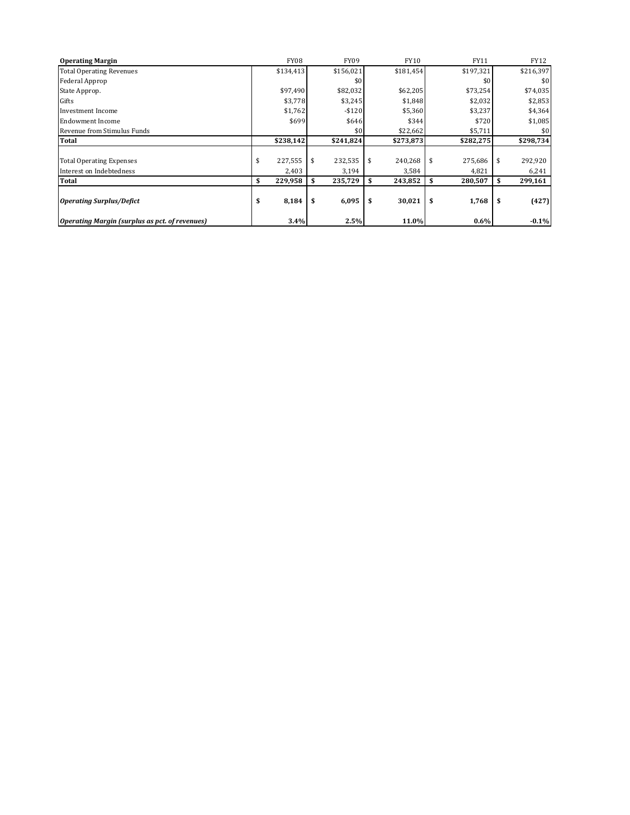| <b>Operating Margin</b>                               | <b>FY08</b>   | <b>FY09</b> | <b>FY10</b>   | <b>FY11</b> | FY12          |
|-------------------------------------------------------|---------------|-------------|---------------|-------------|---------------|
| <b>Total Operating Revenues</b>                       | \$134,413     | \$156,021   | \$181,454     | \$197,321   | \$216,397     |
| Federal Approp                                        |               | \$0         |               | \$0         | \$0           |
| State Approp.                                         | \$97,490      | \$82,032    | \$62,205      | \$73,254    | \$74,035      |
| Gifts                                                 | \$3,778       | \$3,245     | \$1,848       | \$2,032     | \$2,853       |
| <b>Investment Income</b>                              | \$1,762       | $-$120$     | \$5,360       | \$3,237     | \$4,364       |
| <b>Endowment Income</b>                               | \$699         | \$646       | \$344         | \$720       | \$1,085       |
| Revenue from Stimulus Funds                           |               | \$0         | \$22,662      | \$5,711     | \$0           |
| <b>Total</b>                                          | \$238,142     | \$241,824   | \$273,873     | \$282,275   | \$298,734     |
|                                                       |               |             |               |             |               |
| <b>Total Operating Expenses</b>                       | 227,555<br>\$ | 232,535     | 240,268<br>\$ | 275,686     | 292,920       |
| Interest on Indebtedness                              | 2,403         | 3,194       | 3,584         | 4,821       | 6,241         |
| <b>Total</b>                                          | 229,958<br>\$ | 235,729     | 243,852<br>\$ | 280,507     | 299,161       |
|                                                       |               |             |               |             |               |
| <b>Operating Surplus/Defict</b>                       | 8,184<br>\$   | 6,095       | \$<br>30,021  | 1,768       | (427)<br>- \$ |
| <b>Operating Margin (surplus as pct. of revenues)</b> | 3.4%          | 2.5%        | 11.0%         | $0.6\%$     | $-0.1%$       |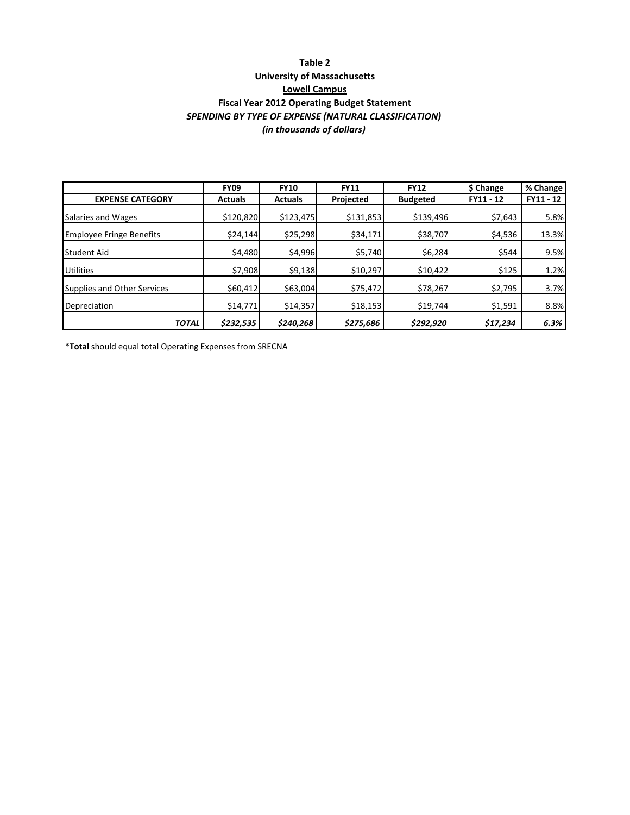### *SPENDING BY TYPE OF EXPENSE (NATURAL CLASSIFICATION) (in thousands of dollars)* **Table 2 University of Massachusetts Lowell Campus Fiscal Year 2012 Operating Budget Statement**

|                                 | <b>FY09</b>    | <b>FY10</b>    | <b>FY11</b> | <b>FY12</b>     | \$ Change | % Change  |
|---------------------------------|----------------|----------------|-------------|-----------------|-----------|-----------|
| <b>EXPENSE CATEGORY</b>         | <b>Actuals</b> | <b>Actuals</b> | Projected   | <b>Budgeted</b> | FY11 - 12 | FY11 - 12 |
| Salaries and Wages              | \$120,820      | \$123,475      | \$131,853   | \$139,496       | \$7,643   | 5.8%      |
| <b>Employee Fringe Benefits</b> | \$24,144       | \$25,298       | \$34,171    | \$38,707        | \$4,536   | 13.3%     |
| <b>Student Aid</b>              | \$4,480        | \$4,996        | \$5,740     | \$6,284         | \$544     | 9.5%      |
| <b>Utilities</b>                | \$7,908        | \$9,138        | \$10,297    | \$10,422        | \$125     | 1.2%      |
| Supplies and Other Services     | \$60,412       | \$63,004       | \$75,472    | \$78,267        | \$2,795   | 3.7%      |
| Depreciation                    | \$14,771       | \$14,357       | \$18,153    | \$19,744        | \$1,591   | 8.8%      |
| <b>TOTAL</b>                    | \$232,535      | \$240,268      | \$275,686   | \$292,920       | \$17,234  | 6.3%      |

\***Total** should equal total Operating Expenses from SRECNA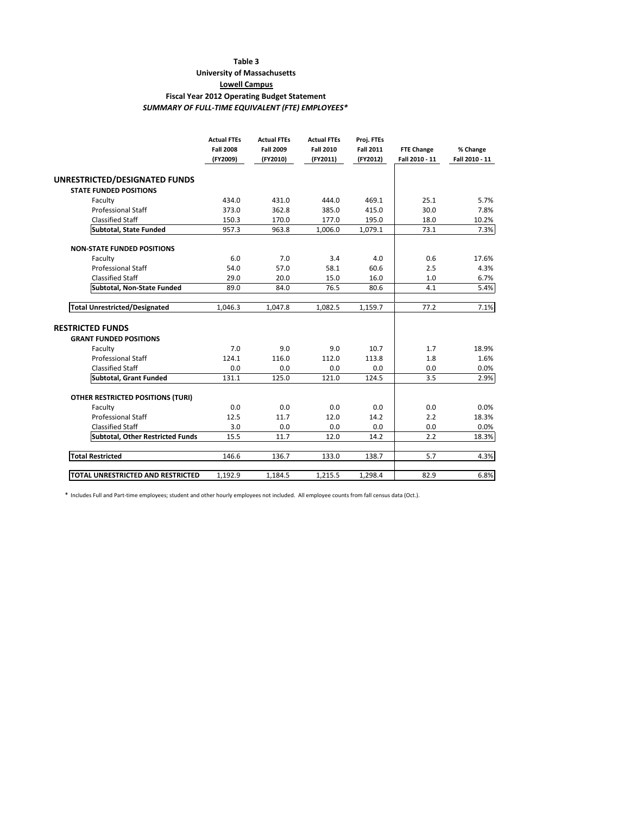#### **Table 3**

#### **University of Massachusetts**

**Lowell Campus**

#### **Fiscal Year 2012 Operating Budget Statement**

*SUMMARY OF FULL‐TIME EQUIVALENT (FTE) EMPLOYEES\**

|                                          | <b>Actual FTEs</b><br><b>Fall 2008</b><br>(FY2009) | <b>Actual FTEs</b><br><b>Fall 2009</b><br>(FY2010) | <b>Actual FTEs</b><br><b>Fall 2010</b><br>(FY2011) | Proj. FTEs<br><b>Fall 2011</b><br>(FY2012) | <b>FTE Change</b><br>Fall 2010 - 11 | % Change<br>Fall 2010 - 11 |
|------------------------------------------|----------------------------------------------------|----------------------------------------------------|----------------------------------------------------|--------------------------------------------|-------------------------------------|----------------------------|
| UNRESTRICTED/DESIGNATED FUNDS            |                                                    |                                                    |                                                    |                                            |                                     |                            |
| <b>STATE FUNDED POSITIONS</b>            |                                                    |                                                    |                                                    |                                            |                                     |                            |
| Faculty                                  | 434.0                                              | 431.0                                              | 444.0                                              | 469.1                                      | 25.1                                | 5.7%                       |
| <b>Professional Staff</b>                | 373.0                                              | 362.8                                              | 385.0                                              | 415.0                                      | 30.0                                | 7.8%                       |
| <b>Classified Staff</b>                  | 150.3                                              | 170.0                                              | 177.0                                              | 195.0                                      | 18.0                                | 10.2%                      |
| <b>Subtotal, State Funded</b>            | 957.3                                              | 963.8                                              | 1,006.0                                            | 1,079.1                                    | 73.1                                | 7.3%                       |
| <b>NON-STATE FUNDED POSITIONS</b>        |                                                    |                                                    |                                                    |                                            |                                     |                            |
| Faculty                                  | 6.0                                                | 7.0                                                | 3.4                                                | 4.0                                        | 0.6                                 | 17.6%                      |
| <b>Professional Staff</b>                | 54.0                                               | 57.0                                               | 58.1                                               | 60.6                                       | 2.5                                 | 4.3%                       |
| <b>Classified Staff</b>                  | 29.0                                               | 20.0                                               | 15.0                                               | 16.0                                       | 1.0                                 | 6.7%                       |
| Subtotal, Non-State Funded               | 89.0                                               | 84.0                                               | 76.5                                               | 80.6                                       | 4.1                                 | 5.4%                       |
| <b>Total Unrestricted/Designated</b>     | 1.046.3                                            | 1,047.8                                            | 1.082.5                                            | 1,159.7                                    | 77.2                                | 7.1%                       |
| <b>RESTRICTED FUNDS</b>                  |                                                    |                                                    |                                                    |                                            |                                     |                            |
| <b>GRANT FUNDED POSITIONS</b>            |                                                    |                                                    |                                                    |                                            |                                     |                            |
| Faculty                                  | 7.0                                                | 9.0                                                | 9.0                                                | 10.7                                       | 1.7                                 | 18.9%                      |
| <b>Professional Staff</b>                | 124.1                                              | 116.0                                              | 112.0                                              | 113.8                                      | 1.8                                 | 1.6%                       |
| <b>Classified Staff</b>                  | 0.0                                                | 0.0                                                | 0.0                                                | 0.0                                        | 0.0                                 | 0.0%                       |
| Subtotal, Grant Funded                   | 131.1                                              | 125.0                                              | 121.0                                              | 124.5                                      | 3.5                                 | 2.9%                       |
| <b>OTHER RESTRICTED POSITIONS (TURI)</b> |                                                    |                                                    |                                                    |                                            |                                     |                            |
| Faculty                                  | 0.0                                                | 0.0                                                | 0.0                                                | 0.0                                        | 0.0                                 | 0.0%                       |
| <b>Professional Staff</b>                | 12.5                                               | 11.7                                               | 12.0                                               | 14.2                                       | 2.2                                 | 18.3%                      |
| <b>Classified Staff</b>                  | 3.0                                                | 0.0                                                | 0.0                                                | 0.0                                        | 0.0                                 | 0.0%                       |
| <b>Subtotal, Other Restricted Funds</b>  | 15.5                                               | 11.7                                               | 12.0                                               | 14.2                                       | 2.2                                 | 18.3%                      |
| <b>Total Restricted</b>                  | 146.6                                              | 136.7                                              | 133.0                                              | 138.7                                      | 5.7                                 | 4.3%                       |
|                                          |                                                    |                                                    |                                                    |                                            |                                     |                            |

\* Includes Full and Part‐time employees; student and other hourly employees not included. All employee counts from fall census data (Oct.).